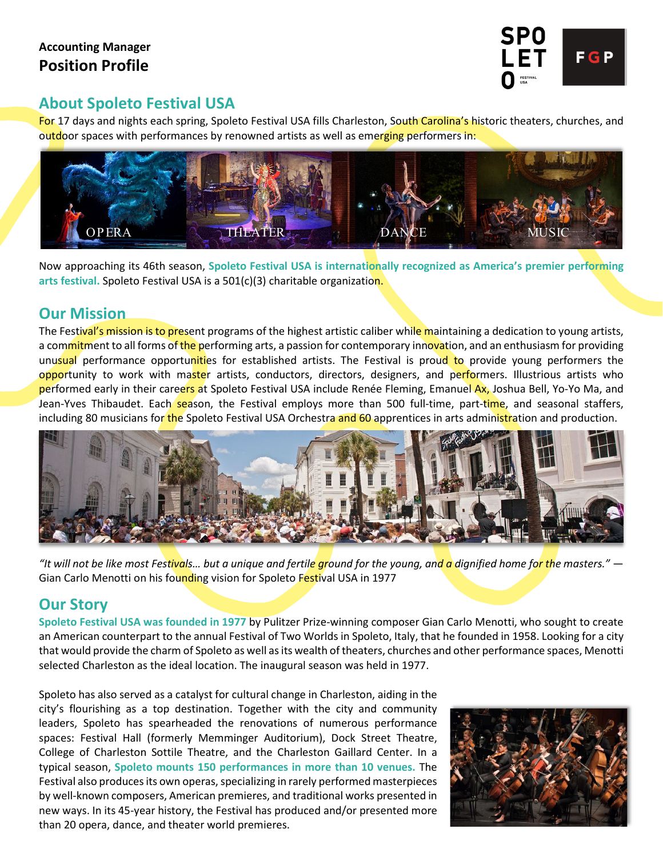

# **About Spoleto Festival USA**

For 17 days and nights each spring, Spoleto Festival USA fills Charleston, South Carolina's historic theaters, churches, and outdoor spaces with performances by renowned artists as well as emerging performers in:



Now approaching its 46th season, **Spoleto Festival USA is internationally recognized as America's premier performing arts festival.** Spoleto Festival USA is a 501(c)(3) charitable organization.

### **Our Mission**

The Festival's mission is to present programs of the highest artistic caliber while maintaining a dedication to young artists, a commitment to all forms of the performing arts, a passion for contemporary innovation, and an enthusiasm for providing unusual performance opportunities for established artists. The Festival is proud to provide young performers the opportunity to work with master artists, conductors, directors, designers, and performers. Illustrious artists who performed early in their careers at Spoleto Festival USA include Renée Fleming, Emanuel Ax, Joshua Bell, Yo-Yo Ma, and Jean-Yves Thibaudet. Each season, the Festival employs more than 500 full-time, part-time, and seasonal staffers, including 80 musicians for the Spoleto Festival USA Orchestra and 60 apprentices in arts administration and production.



*"It will not be like most Festivals… but a unique and fertile ground for the young, and a dignified home for the masters."* — Gian Carlo Menotti on his founding vision for Spoleto Festival USA in 1977

# **Our Story**

**Spoleto Festival USA was founded in 1977** by Pulitzer Prize-winning composer Gian Carlo Menotti, who sought to create an American counterpart to the annual Festival of Two Worlds in Spoleto, Italy, that he founded in 1958. Looking for a city that would provide the charm of Spoleto as well as its wealth of theaters, churches and other performance spaces, Menotti selected Charleston as the ideal location. The inaugural season was held in 1977.

Spoleto has also served as a catalyst for cultural change in Charleston, aiding in the city's flourishing as a top destination. Together with the city and community leaders, Spoleto has spearheaded the renovations of numerous performance spaces: Festival Hall (formerly Memminger Auditorium), Dock Street Theatre, College of Charleston Sottile Theatre, and the Charleston Gaillard Center. In a typical season, **Spoleto mounts 150 performances in more than 10 venues.** The Festival also produces its own operas, specializing in rarely performed masterpieces by well-known composers, American premieres, and traditional works presented in new ways. In its 45-year history, the Festival has produced and/or presented more than 20 opera, dance, and theater world premieres.

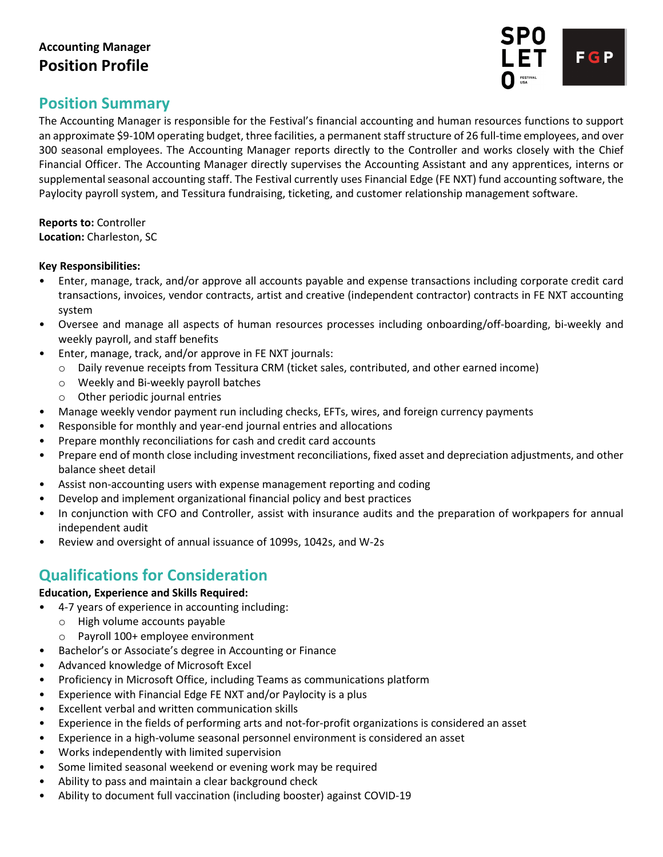

# **Position Summary**

The Accounting Manager is responsible for the Festival's financial accounting and human resources functions to support an approximate \$9-10M operating budget, three facilities, a permanent staff structure of 26 full-time employees, and over 300 seasonal employees. The Accounting Manager reports directly to the Controller and works closely with the Chief Financial Officer. The Accounting Manager directly supervises the Accounting Assistant and any apprentices, interns or supplemental seasonal accounting staff. The Festival currently uses Financial Edge (FE NXT) fund accounting software, the Paylocity payroll system, and Tessitura fundraising, ticketing, and customer relationship management software.

#### **Reports to:** Controller **Location:** Charleston, SC

#### **Key Responsibilities:**

- Enter, manage, track, and/or approve all accounts payable and expense transactions including corporate credit card transactions, invoices, vendor contracts, artist and creative (independent contractor) contracts in FE NXT accounting system
- Oversee and manage all aspects of human resources processes including onboarding/off-boarding, bi-weekly and weekly payroll, and staff benefits
- Enter, manage, track, and/or approve in FE NXT journals:
	- o Daily revenue receipts from Tessitura CRM (ticket sales, contributed, and other earned income)
	- o Weekly and Bi-weekly payroll batches
	- o Other periodic journal entries
- Manage weekly vendor payment run including checks, EFTs, wires, and foreign currency payments
- Responsible for monthly and year-end journal entries and allocations
- Prepare monthly reconciliations for cash and credit card accounts
- Prepare end of month close including investment reconciliations, fixed asset and depreciation adjustments, and other balance sheet detail
- Assist non-accounting users with expense management reporting and coding
- Develop and implement organizational financial policy and best practices
- In conjunction with CFO and Controller, assist with insurance audits and the preparation of workpapers for annual independent audit
- Review and oversight of annual issuance of 1099s, 1042s, and W-2s

# **Qualifications for Consideration**

#### **Education, Experience and Skills Required:**

- 4-7 years of experience in accounting including:
	- o High volume accounts payable
	- o Payroll 100+ employee environment
- Bachelor's or Associate's degree in Accounting or Finance
- Advanced knowledge of Microsoft Excel
- Proficiency in Microsoft Office, including Teams as communications platform
- Experience with Financial Edge FE NXT and/or Paylocity is a plus
- Excellent verbal and written communication skills
- Experience in the fields of performing arts and not-for-profit organizations is considered an asset
- Experience in a high-volume seasonal personnel environment is considered an asset
- Works independently with limited supervision
- Some limited seasonal weekend or evening work may be required
- Ability to pass and maintain a clear background check
- Ability to document full vaccination (including booster) against COVID-19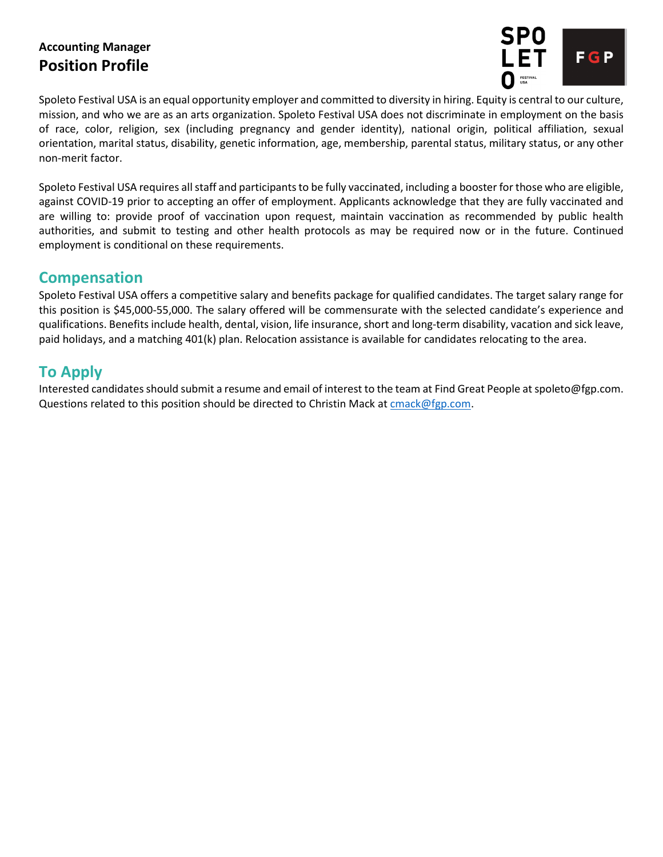

Spoleto Festival USA is an equal opportunity employer and committed to diversity in hiring. Equity is central to our culture, mission, and who we are as an arts organization. Spoleto Festival USA does not discriminate in employment on the basis of race, color, religion, sex (including pregnancy and gender identity), national origin, political affiliation, sexual orientation, marital status, disability, genetic information, age, membership, parental status, military status, or any other non-merit factor.

Spoleto Festival USA requires all staff and participants to be fully vaccinated, including a booster for those who are eligible, against COVID-19 prior to accepting an offer of employment. Applicants acknowledge that they are fully vaccinated and are willing to: provide proof of vaccination upon request, maintain vaccination as recommended by public health authorities, and submit to testing and other health protocols as may be required now or in the future. Continued employment is conditional on these requirements.

### **Compensation**

Spoleto Festival USA offers a competitive salary and benefits package for qualified candidates. The target salary range for this position is \$45,000-55,000. The salary offered will be commensurate with the selected candidate's experience and qualifications. Benefits include health, dental, vision, life insurance, short and long-term disability, vacation and sick leave, paid holidays, and a matching 401(k) plan. Relocation assistance is available for candidates relocating to the area.

# **To Apply**

Interested candidates should submit a resume and email of interest to the team at Find Great People at spoleto@fgp.com. Questions related to this position should be directed to Christin Mack a[t cmack@fgp.com.](mailto:cmack@fgp.com)